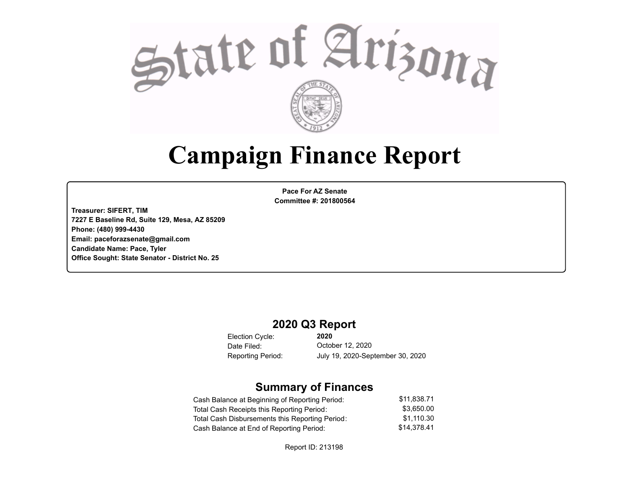

# **Campaign Finance Report**

**Pace For AZ Senate Committee #: 201800564**

**Treasurer: SIFERT, TIM 7227 E Baseline Rd, Suite 129, Mesa, AZ 85209 Phone: (480) 999-4430 Email: paceforazsenate@gmail.com Candidate Name: Pace, Tyler Office Sought: State Senator - District No. 25**

### **2020 Q3 Report**

Election Cycle: Date Filed:

**2020** October 12, 2020 Reporting Period: July 19, 2020-September 30, 2020

### **Summary of Finances**

| Cash Balance at Beginning of Reporting Period:  | \$11.838.71 |
|-------------------------------------------------|-------------|
| Total Cash Receipts this Reporting Period:      | \$3.650.00  |
| Total Cash Disbursements this Reporting Period: | \$1.110.30  |
| Cash Balance at End of Reporting Period:        | \$14.378.41 |

Report ID: 213198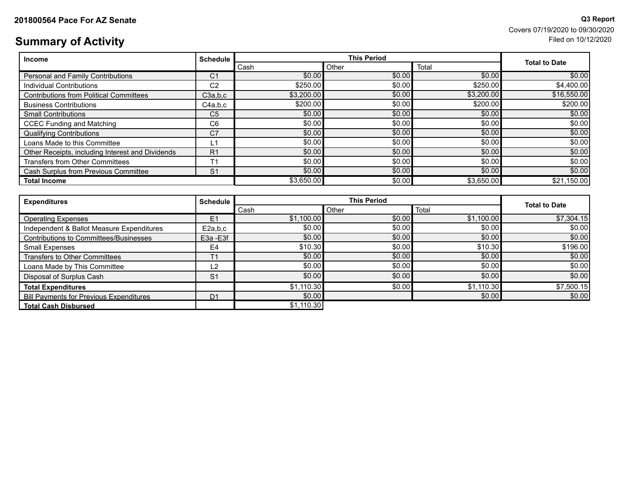# **Summary of Activity** Filed on 10/12/2020

**201800564 Pace For AZ Senate** And Senate All and Senate All and Senate All and Senate All and Senate All and Senate All and Senate All and Senate All and Senate All and Senate All and Senate All and Senate All and Senate Covers 07/19/2020 to 09/30/2020

| <b>Income</b>                                    | <b>Schedule</b>        | <b>This Period</b> |        |            | <b>Total to Date</b> |
|--------------------------------------------------|------------------------|--------------------|--------|------------|----------------------|
|                                                  | Total<br>Other<br>Cash |                    |        |            |                      |
| Personal and Family Contributions                | С1                     | \$0.00             | \$0.00 | \$0.00     | \$0.00               |
| Individual Contributions                         | C <sub>2</sub>         | \$250.00           | \$0.00 | \$250.00   | \$4,400.00]          |
| <b>Contributions from Political Committees</b>   | C3a,b,c                | \$3,200.00         | \$0.00 | \$3,200.00 | \$16,550.00          |
| <b>Business Contributions</b>                    | C4a,b,c                | \$200.00           | \$0.00 | \$200.00   | \$200.00]            |
| <b>Small Contributions</b>                       | C <sub>5</sub>         | \$0.00             | \$0.00 | \$0.00     | \$0.00               |
| <b>CCEC Funding and Matching</b>                 | C <sub>6</sub>         | \$0.00             | \$0.00 | \$0.00     | \$0.00]              |
| <b>Qualifying Contributions</b>                  | C <sub>7</sub>         | \$0.00             | \$0.00 | \$0.00     | \$0.00               |
| Loans Made to this Committee                     | L1                     | \$0.00             | \$0.00 | \$0.00     | \$0.00]              |
| Other Receipts, including Interest and Dividends | R <sub>1</sub>         | \$0.00             | \$0.00 | \$0.00     | \$0.00]              |
| <b>Transfers from Other Committees</b>           | Τ1                     | \$0.00             | \$0.00 | \$0.00     | \$0.00               |
| Cash Surplus from Previous Committee             | S <sub>1</sub>         | \$0.00             | \$0.00 | \$0.00     | \$0.00               |
| <b>Total Income</b>                              |                        | \$3,650.00         | \$0.00 | \$3,650.00 | \$21,150.00          |

| <b>Expenditures</b>                            | <b>Schedule</b> |            | <b>Total to Date</b> |            |            |  |
|------------------------------------------------|-----------------|------------|----------------------|------------|------------|--|
|                                                |                 | Cash       | Total<br>Other       |            |            |  |
| <b>Operating Expenses</b>                      | E1              | \$1,100.00 | \$0.00               | \$1,100.00 | \$7,304.15 |  |
| Independent & Ballot Measure Expenditures      | E2a,b,c         | \$0.00     | \$0.00               | \$0.00     | \$0.00     |  |
| Contributions to Committees/Businesses         | E3a - E3f       | \$0.00     | \$0.00               | \$0.00     | \$0.00     |  |
| Small Expenses                                 | E4              | \$10.30    | \$0.00               | \$10.30    | \$196.00   |  |
| Transfers to Other Committees                  |                 | \$0.00     | \$0.00               | \$0.00     | \$0.00]    |  |
| Loans Made by This Committee                   | L2              | \$0.00     | \$0.00               | \$0.00     | \$0.00     |  |
| Disposal of Surplus Cash                       | S <sub>1</sub>  | \$0.00     | \$0.00               | \$0.00     | \$0.00     |  |
| <b>Total Expenditures</b>                      |                 | \$1,110.30 | \$0.00               | \$1,110.30 | \$7,500.15 |  |
| <b>Bill Payments for Previous Expenditures</b> | D <sub>1</sub>  | \$0.00     |                      | \$0.00     | \$0.00     |  |
| <b>Total Cash Disbursed</b>                    |                 | \$1,110.30 |                      |            |            |  |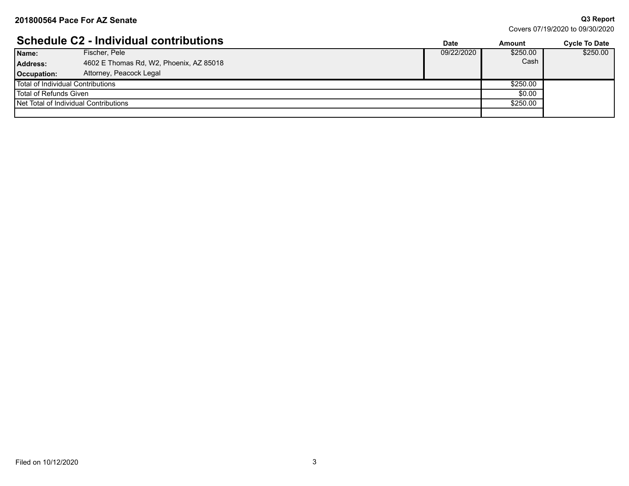**Q3 Report**

| Covers 07/19/2020 to 09/30/2020 |  |
|---------------------------------|--|
|---------------------------------|--|

|                                       | <b>Schedule C2 - Individual contributions</b> | <b>Date</b> | Amount   | <b>Cycle To Date</b> |
|---------------------------------------|-----------------------------------------------|-------------|----------|----------------------|
| Name:                                 | Fischer, Pele                                 | 09/22/2020  | \$250.00 | \$250.00             |
| <b>Address:</b>                       | 4602 E Thomas Rd, W2, Phoenix, AZ 85018       |             | Cash     |                      |
| Occupation:                           | Attorney, Peacock Legal                       |             |          |                      |
| Total of Individual Contributions     |                                               |             | \$250.00 |                      |
| l Total of Refunds Given              |                                               |             | \$0.00   |                      |
| Net Total of Individual Contributions |                                               |             | \$250.00 |                      |
|                                       |                                               |             |          |                      |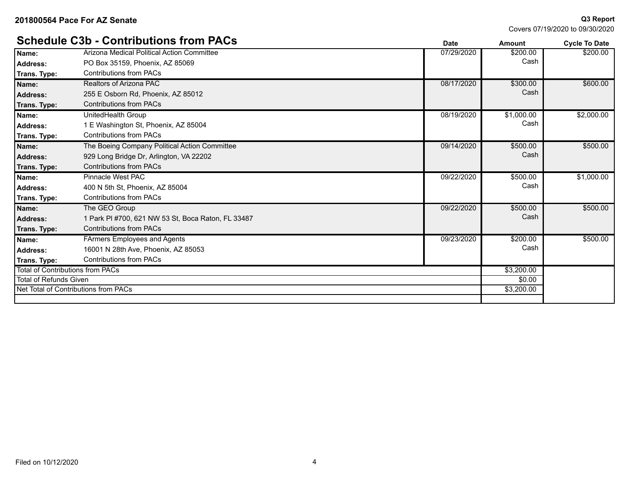**Q3 Report**

| Covers 07/19/2020 to 09/30/2020 |  |
|---------------------------------|--|
|---------------------------------|--|

|                                         | <b>Schedule C3b - Contributions from PACs</b>      | <b>Date</b> | Amount     | <b>Cycle To Date</b> |
|-----------------------------------------|----------------------------------------------------|-------------|------------|----------------------|
| Name:                                   | Arizona Medical Political Action Committee         | 07/29/2020  | \$200.00   | \$200.00             |
| <b>Address:</b>                         | PO Box 35159, Phoenix, AZ 85069                    |             | Cash       |                      |
| Trans. Type:                            | <b>Contributions from PACs</b>                     |             |            |                      |
| Name:                                   | Realtors of Arizona PAC                            | 08/17/2020  | \$300.00   | \$600.00             |
| <b>Address:</b>                         | 255 E Osborn Rd, Phoenix, AZ 85012                 |             | Cash       |                      |
| Trans. Type:                            | <b>Contributions from PACs</b>                     |             |            |                      |
| Name:                                   | UnitedHealth Group                                 | 08/19/2020  | \$1,000.00 | \$2,000.00           |
| Address:                                | 1 E Washington St, Phoenix, AZ 85004               |             | Cash       |                      |
| Trans. Type:                            | <b>Contributions from PACs</b>                     |             |            |                      |
| Name:                                   | The Boeing Company Political Action Committee      | 09/14/2020  | \$500.00   | \$500.00             |
| Address:                                | 929 Long Bridge Dr. Arlington, VA 22202            |             | Cash       |                      |
| Trans. Type:                            | <b>Contributions from PACs</b>                     |             |            |                      |
| Name:                                   | Pinnacle West PAC                                  | 09/22/2020  | \$500.00   | \$1,000.00           |
| <b>Address:</b>                         | 400 N 5th St, Phoenix, AZ 85004                    |             | Cash       |                      |
| Trans. Type:                            | <b>Contributions from PACs</b>                     |             |            |                      |
| Name:                                   | The GEO Group                                      | 09/22/2020  | \$500.00   | \$500.00             |
| <b>Address:</b>                         | 1 Park PI #700, 621 NW 53 St, Boca Raton, FL 33487 |             | Cash       |                      |
| Trans. Type:                            | <b>Contributions from PACs</b>                     |             |            |                      |
| Name:                                   | FArmers Employees and Agents                       | 09/23/2020  | \$200.00   | \$500.00             |
| <b>Address:</b>                         | 16001 N 28th Ave, Phoenix, AZ 85053                |             | Cash       |                      |
| Trans. Type:                            | <b>Contributions from PACs</b>                     |             |            |                      |
| <b>Total of Contributions from PACs</b> |                                                    |             | \$3,200.00 |                      |
| <b>Total of Refunds Given</b>           |                                                    |             | \$0.00     |                      |
|                                         | Net Total of Contributions from PACs               |             | \$3,200.00 |                      |
|                                         |                                                    |             |            |                      |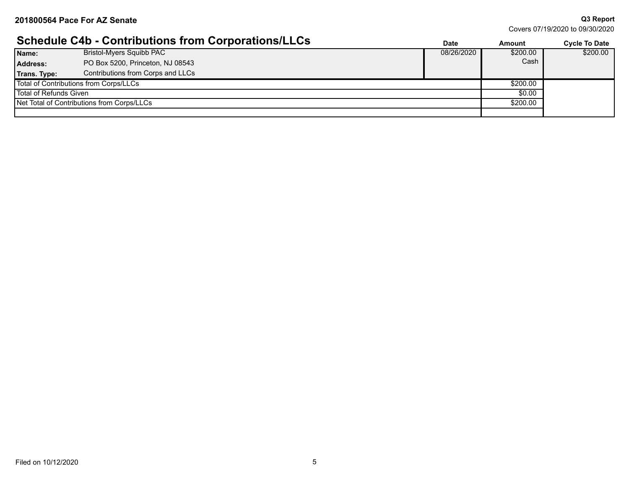Covers 07/19/2020 to 09/30/2020

## **Schedule C4b - Contributions from Corporations/LLCs Date Date Amount Cycle To Date**

|                        |                                            | Dale       | Allivulli | <b>OVLIE TO DATE</b> |
|------------------------|--------------------------------------------|------------|-----------|----------------------|
| Name:                  | <b>Bristol-Myers Squibb PAC</b>            | 08/26/2020 | \$200.00  | \$200.00             |
| <b>Address:</b>        | PO Box 5200, Princeton, NJ 08543           |            | Cash      |                      |
| Trans. Type:           | Contributions from Corps and LLCs          |            |           |                      |
|                        | Total of Contributions from Corps/LLCs     |            | \$200.00  |                      |
| Total of Refunds Given |                                            |            | \$0.00    |                      |
|                        | Net Total of Contributions from Corps/LLCs |            | \$200.00  |                      |
|                        |                                            |            |           |                      |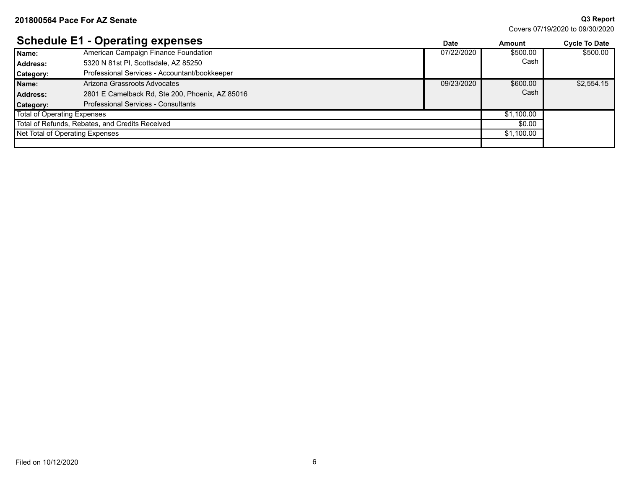**Q3 Report**

|                             | <b>Schedule E1 - Operating expenses</b>         | <b>Date</b> | <b>Amount</b> | <b>Cycle To Date</b> |
|-----------------------------|-------------------------------------------------|-------------|---------------|----------------------|
| Name:                       | American Campaign Finance Foundation            | 07/22/2020  | \$500.00      | \$500.00             |
| <b>Address:</b>             | 5320 N 81st Pl. Scottsdale, AZ 85250            |             | Cash          |                      |
| Category:                   | Professional Services - Accountant/bookkeeper   |             |               |                      |
| Name:                       | Arizona Grassroots Advocates                    | 09/23/2020  | \$600.00      | \$2,554.15           |
| Address:                    | 2801 E Camelback Rd, Ste 200, Phoenix, AZ 85016 |             | Cash          |                      |
| Category:                   | Professional Services - Consultants             |             |               |                      |
| Total of Operating Expenses |                                                 |             | \$1,100.00    |                      |
|                             | Total of Refunds, Rebates, and Credits Received |             | \$0.00        |                      |
|                             | Net Total of Operating Expenses                 |             | \$1,100.00    |                      |
|                             |                                                 |             |               |                      |